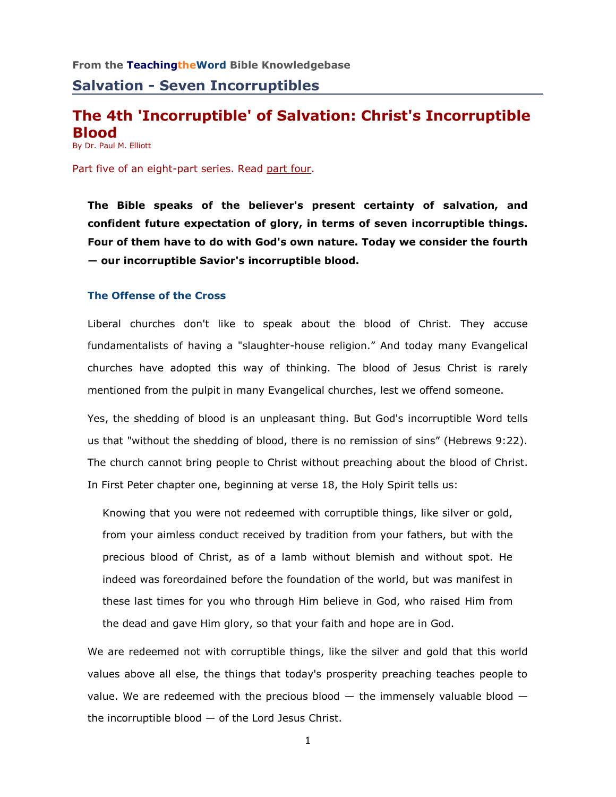# **The 4th 'Incorruptible' of Salvation: Christ's Incorruptible Blood**

By Dr. Paul M. Elliott

Part five of an eight-part series. Read [part four.](http://www.teachingtheword.org/apps/articles/web/articleid/61120/columnid/5861/default.asp)

**The Bible speaks of the believer's present certainty of salvation, and confident future expectation of glory, in terms of seven incorruptible things. Four of them have to do with God's own nature. Today we consider the fourth — our incorruptible Savior's incorruptible blood.** 

### **The Offense of the Cross**

Liberal churches don't like to speak about the blood of Christ. They accuse fundamentalists of having a "slaughter-house religion." And today many Evangelical churches have adopted this way of thinking. The blood of Jesus Christ is rarely mentioned from the pulpit in many Evangelical churches, lest we offend someone.

Yes, the shedding of blood is an unpleasant thing. But God's incorruptible Word tells us that "without the shedding of blood, there is no remission of sins" (Hebrews 9:22). The church cannot bring people to Christ without preaching about the blood of Christ. In First Peter chapter one, beginning at verse 18, the Holy Spirit tells us:

Knowing that you were not redeemed with corruptible things, like silver or gold, from your aimless conduct received by tradition from your fathers, but with the precious blood of Christ, as of a lamb without blemish and without spot. He indeed was foreordained before the foundation of the world, but was manifest in these last times for you who through Him believe in God, who raised Him from the dead and gave Him glory, so that your faith and hope are in God.

We are redeemed not with corruptible things, like the silver and gold that this world values above all else, the things that today's prosperity preaching teaches people to value. We are redeemed with the precious blood  $-$  the immensely valuable blood  $$ the incorruptible blood  $-$  of the Lord Jesus Christ.

1